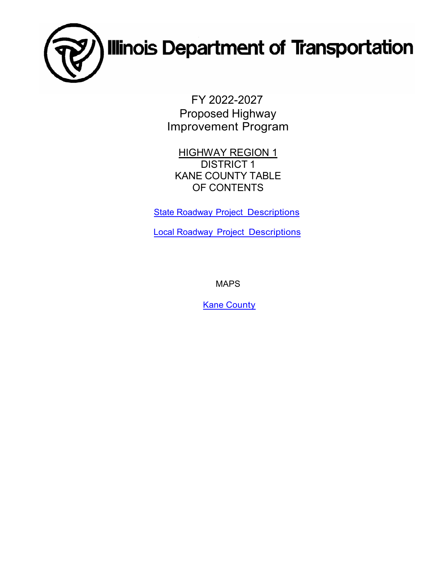

FY 2022-2027 Proposed Highway Improvement Program

**HIGHWAY REGION 1** DISTRICT 1 KANE COUNTY TABLE OF CONTENTS

**State Roadway [Project Descriptions](#page-1-0)** 

Local Roadway [Project Descriptions](#page-11-0)

MAPS

**Kane [County](#page-14-0)**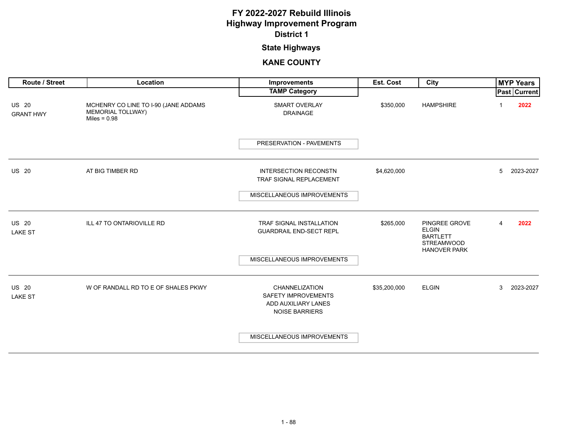### **State Highways**

<span id="page-1-0"></span>

| Route / Street                   | Location                                                                           | <b>Improvements</b>                                                                          | Est. Cost    | City                                                                                         |   | <b>MYP Years</b>    |
|----------------------------------|------------------------------------------------------------------------------------|----------------------------------------------------------------------------------------------|--------------|----------------------------------------------------------------------------------------------|---|---------------------|
|                                  |                                                                                    | <b>TAMP Category</b>                                                                         |              |                                                                                              |   | <b>Past Current</b> |
| <b>US 20</b><br><b>GRANT HWY</b> | MCHENRY CO LINE TO I-90 (JANE ADDAMS<br><b>MEMORIAL TOLLWAY)</b><br>Miles = $0.98$ | <b>SMART OVERLAY</b><br><b>DRAINAGE</b>                                                      | \$350,000    | <b>HAMPSHIRE</b>                                                                             | 1 | 2022                |
|                                  |                                                                                    | PRESERVATION - PAVEMENTS                                                                     |              |                                                                                              |   |                     |
| <b>US 20</b>                     | AT BIG TIMBER RD                                                                   | <b>INTERSECTION RECONSTN</b><br>TRAF SIGNAL REPLACEMENT                                      | \$4,620,000  |                                                                                              | 5 | 2023-2027           |
|                                  |                                                                                    | MISCELLANEOUS IMPROVEMENTS                                                                   |              |                                                                                              |   |                     |
| <b>US 20</b><br><b>LAKE ST</b>   | ILL 47 TO ONTARIOVILLE RD                                                          | TRAF SIGNAL INSTALLATION<br><b>GUARDRAIL END-SECT REPL</b>                                   | \$265,000    | PINGREE GROVE<br><b>ELGIN</b><br><b>BARTLETT</b><br><b>STREAMWOOD</b><br><b>HANOVER PARK</b> | 4 | 2022                |
|                                  |                                                                                    | MISCELLANEOUS IMPROVEMENTS                                                                   |              |                                                                                              |   |                     |
| <b>US 20</b><br><b>LAKE ST</b>   | W OF RANDALL RD TO E OF SHALES PKWY                                                | CHANNELIZATION<br><b>SAFETY IMPROVEMENTS</b><br>ADD AUXILIARY LANES<br><b>NOISE BARRIERS</b> | \$35,200,000 | <b>ELGIN</b>                                                                                 | 3 | 2023-2027           |
|                                  |                                                                                    | MISCELLANEOUS IMPROVEMENTS                                                                   |              |                                                                                              |   |                     |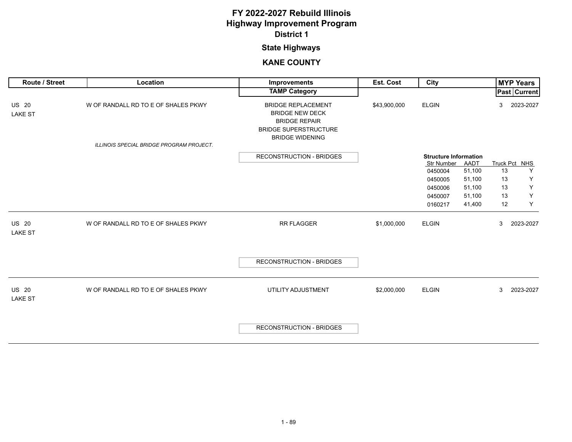## **State Highways**

| Route / Street                 | Location                                                                        | Improvements                                                                                                                          | Est. Cost    | City                         |        |    | <b>MYP Years</b>    |
|--------------------------------|---------------------------------------------------------------------------------|---------------------------------------------------------------------------------------------------------------------------------------|--------------|------------------------------|--------|----|---------------------|
|                                |                                                                                 | <b>TAMP Category</b>                                                                                                                  |              |                              |        |    | <b>Past Current</b> |
| <b>US 20</b><br><b>LAKE ST</b> | W OF RANDALL RD TO E OF SHALES PKWY<br>ILLINOIS SPECIAL BRIDGE PROGRAM PROJECT. | <b>BRIDGE REPLACEMENT</b><br><b>BRIDGE NEW DECK</b><br><b>BRIDGE REPAIR</b><br><b>BRIDGE SUPERSTRUCTURE</b><br><b>BRIDGE WIDENING</b> | \$43,900,000 | <b>ELGIN</b>                 |        | 3  | 2023-2027           |
|                                |                                                                                 | <b>RECONSTRUCTION - BRIDGES</b>                                                                                                       |              | <b>Structure Information</b> |        |    |                     |
|                                |                                                                                 |                                                                                                                                       |              | Str Number                   | AADT   |    | Truck Pct NHS       |
|                                |                                                                                 |                                                                                                                                       |              | 0450004                      | 51,100 | 13 | Y                   |
|                                |                                                                                 |                                                                                                                                       |              | 0450005                      | 51,100 | 13 | Υ                   |
|                                |                                                                                 |                                                                                                                                       |              | 0450006                      | 51,100 | 13 | Υ                   |
|                                |                                                                                 |                                                                                                                                       |              | 0450007                      | 51,100 | 13 | Υ                   |
|                                |                                                                                 |                                                                                                                                       |              | 0160217                      | 41,400 | 12 | Y                   |
| <b>US 20</b><br><b>LAKE ST</b> | W OF RANDALL RD TO E OF SHALES PKWY                                             | RR FLAGGER                                                                                                                            | \$1,000,000  | <b>ELGIN</b>                 |        | 3  | 2023-2027           |
|                                |                                                                                 | <b>RECONSTRUCTION - BRIDGES</b>                                                                                                       |              |                              |        |    |                     |
| <b>US 20</b><br><b>LAKE ST</b> | W OF RANDALL RD TO E OF SHALES PKWY                                             | UTILITY ADJUSTMENT                                                                                                                    | \$2,000,000  | <b>ELGIN</b>                 |        | 3  | 2023-2027           |
|                                |                                                                                 | <b>RECONSTRUCTION - BRIDGES</b>                                                                                                       |              |                              |        |    |                     |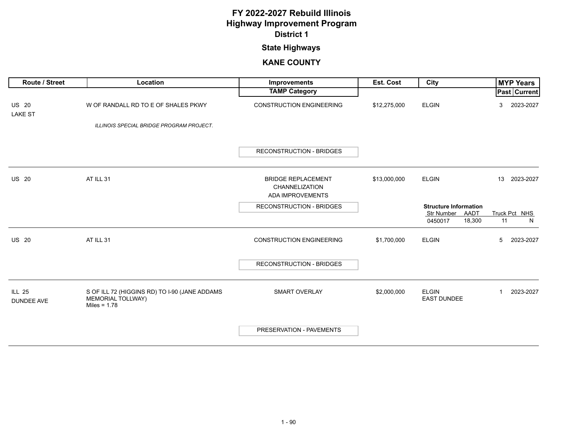## **State Highways**

| <b>Route / Street</b>              | Location                                                                                    | <b>Improvements</b>                                             | Est. Cost    | City                                                                    | <b>MYP Years</b>         |
|------------------------------------|---------------------------------------------------------------------------------------------|-----------------------------------------------------------------|--------------|-------------------------------------------------------------------------|--------------------------|
|                                    |                                                                                             | <b>TAMP Category</b>                                            |              |                                                                         | <b>Past Current</b>      |
| <b>US 20</b><br><b>LAKE ST</b>     | W OF RANDALL RD TO E OF SHALES PKWY                                                         | <b>CONSTRUCTION ENGINEERING</b>                                 | \$12,275,000 | <b>ELGIN</b>                                                            | 2023-2027<br>3           |
|                                    | ILLINOIS SPECIAL BRIDGE PROGRAM PROJECT.                                                    |                                                                 |              |                                                                         |                          |
|                                    |                                                                                             | <b>RECONSTRUCTION - BRIDGES</b>                                 |              |                                                                         |                          |
| <b>US 20</b>                       | AT ILL 31                                                                                   | <b>BRIDGE REPLACEMENT</b><br>CHANNELIZATION<br>ADA IMPROVEMENTS | \$13,000,000 | <b>ELGIN</b>                                                            | 13 2023-2027             |
|                                    |                                                                                             | <b>RECONSTRUCTION - BRIDGES</b>                                 |              | <b>Structure Information</b><br>AADT<br>Str Number<br>18,300<br>0450017 | Truck Pct NHS<br>11<br>N |
| <b>US 20</b>                       | AT ILL 31                                                                                   | <b>CONSTRUCTION ENGINEERING</b>                                 | \$1,700,000  | <b>ELGIN</b>                                                            | 5<br>2023-2027           |
|                                    |                                                                                             | <b>RECONSTRUCTION - BRIDGES</b>                                 |              |                                                                         |                          |
| <b>ILL 25</b><br><b>DUNDEE AVE</b> | S OF ILL 72 (HIGGINS RD) TO I-90 (JANE ADDAMS<br><b>MEMORIAL TOLLWAY)</b><br>Miles = $1.78$ | SMART OVERLAY                                                   | \$2,000,000  | <b>ELGIN</b><br><b>EAST DUNDEE</b>                                      | 2023-2027<br>-1          |
|                                    |                                                                                             | PRESERVATION - PAVEMENTS                                        |              |                                                                         |                          |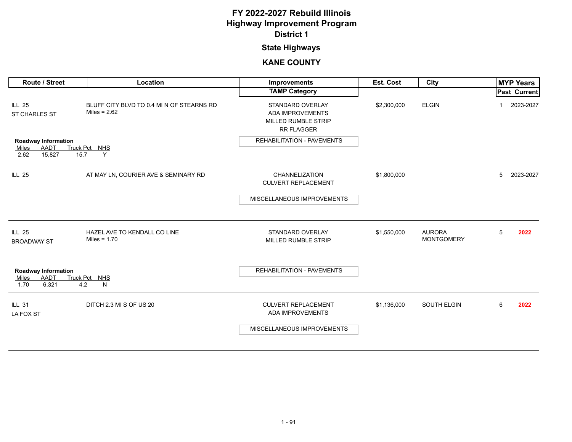### **State Highways**

| Route / Street                                                             | Location                                                    | <b>Improvements</b>                                                                     | <b>Est. Cost</b> | City                               |   | <b>MYP Years</b> |
|----------------------------------------------------------------------------|-------------------------------------------------------------|-----------------------------------------------------------------------------------------|------------------|------------------------------------|---|------------------|
|                                                                            |                                                             | <b>TAMP Category</b>                                                                    |                  |                                    |   | Past Current     |
| <b>ILL 25</b><br>ST CHARLES ST                                             | BLUFF CITY BLVD TO 0.4 MI N OF STEARNS RD<br>Miles = $2.62$ | STANDARD OVERLAY<br><b>ADA IMPROVEMENTS</b><br>MILLED RUMBLE STRIP<br><b>RR FLAGGER</b> | \$2,300,000      | <b>ELGIN</b>                       |   | 2023-2027        |
| <b>Roadway Information</b>                                                 |                                                             | <b>REHABILITATION - PAVEMENTS</b>                                                       |                  |                                    |   |                  |
| AADT<br>Miles<br>2.62<br>15,827<br>15.7                                    | Truck Pct NHS<br>Y                                          |                                                                                         |                  |                                    |   |                  |
| <b>ILL 25</b>                                                              | AT MAY LN, COURIER AVE & SEMINARY RD                        | CHANNELIZATION<br><b>CULVERT REPLACEMENT</b>                                            | \$1,800,000      |                                    | 5 | 2023-2027        |
|                                                                            |                                                             | MISCELLANEOUS IMPROVEMENTS                                                              |                  |                                    |   |                  |
|                                                                            |                                                             |                                                                                         |                  |                                    |   |                  |
| <b>ILL 25</b><br><b>BROADWAY ST</b>                                        | HAZEL AVE TO KENDALL CO LINE<br>Miles = $1.70$              | STANDARD OVERLAY<br>MILLED RUMBLE STRIP                                                 | \$1,550,000      | <b>AURORA</b><br><b>MONTGOMERY</b> | 5 | 2022             |
| <b>Roadway Information</b><br><b>AADT</b><br>Miles<br>6,321<br>4.2<br>1.70 | Truck Pct NHS<br>N                                          | <b>REHABILITATION - PAVEMENTS</b>                                                       |                  |                                    |   |                  |
| <b>ILL 31</b><br>LA FOX ST                                                 | DITCH 2.3 MI S OF US 20                                     | <b>CULVERT REPLACEMENT</b><br>ADA IMPROVEMENTS                                          | \$1,136,000      | <b>SOUTH ELGIN</b>                 | 6 | 2022             |
|                                                                            |                                                             | MISCELLANEOUS IMPROVEMENTS                                                              |                  |                                    |   |                  |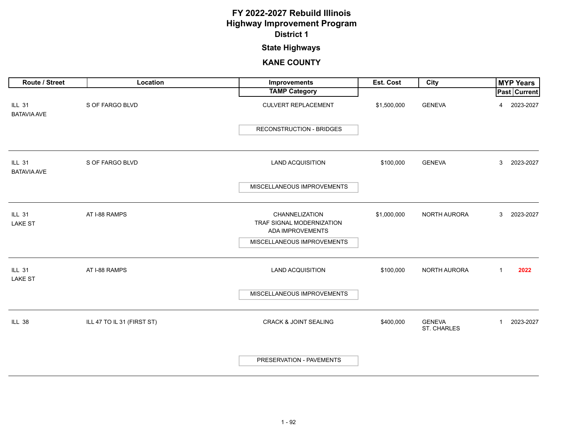### **State Highways**

| Route / Street                      | Location                   | Improvements                                                    | Est. Cost   | City                         |              | <b>MYP Years</b> |
|-------------------------------------|----------------------------|-----------------------------------------------------------------|-------------|------------------------------|--------------|------------------|
|                                     |                            | <b>TAMP Category</b>                                            |             |                              |              | Past Current     |
| <b>ILL 31</b><br><b>BATAVIA AVE</b> | S OF FARGO BLVD            | <b>CULVERT REPLACEMENT</b>                                      | \$1,500,000 | <b>GENEVA</b>                | 4            | 2023-2027        |
|                                     |                            | <b>RECONSTRUCTION - BRIDGES</b>                                 |             |                              |              |                  |
| <b>ILL 31</b><br><b>BATAVIA AVE</b> | S OF FARGO BLVD            | <b>LAND ACQUISITION</b>                                         | \$100,000   | <b>GENEVA</b>                | 3            | 2023-2027        |
|                                     |                            | MISCELLANEOUS IMPROVEMENTS                                      |             |                              |              |                  |
| <b>ILL 31</b><br><b>LAKE ST</b>     | AT I-88 RAMPS              | CHANNELIZATION<br>TRAF SIGNAL MODERNIZATION<br>ADA IMPROVEMENTS | \$1,000,000 | NORTH AURORA                 | 3            | 2023-2027        |
|                                     |                            | MISCELLANEOUS IMPROVEMENTS                                      |             |                              |              |                  |
| <b>ILL 31</b><br><b>LAKE ST</b>     | AT I-88 RAMPS              | <b>LAND ACQUISITION</b>                                         | \$100,000   | NORTH AURORA                 | $\mathbf{1}$ | 2022             |
|                                     |                            | MISCELLANEOUS IMPROVEMENTS                                      |             |                              |              |                  |
| <b>ILL 38</b>                       | ILL 47 TO IL 31 (FIRST ST) | <b>CRACK &amp; JOINT SEALING</b>                                | \$400,000   | <b>GENEVA</b><br>ST. CHARLES | $\mathbf{1}$ | 2023-2027        |
|                                     |                            | PRESERVATION - PAVEMENTS                                        |             |                              |              |                  |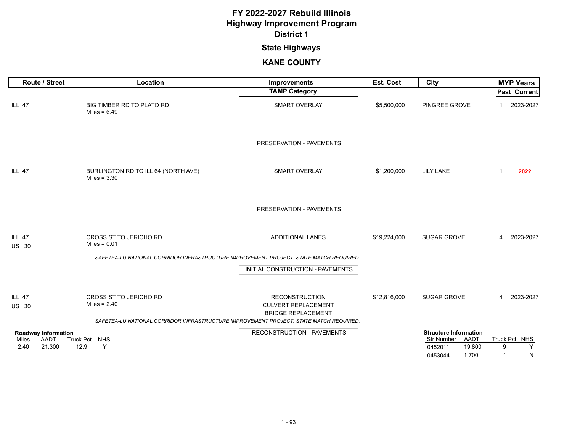### **State Highways**

| Route / Street                                                | Location                                              | Improvements                                                                           | <b>Est. Cost</b> | City                                                                                     | <b>MYP Years</b>                  |
|---------------------------------------------------------------|-------------------------------------------------------|----------------------------------------------------------------------------------------|------------------|------------------------------------------------------------------------------------------|-----------------------------------|
|                                                               |                                                       | <b>TAMP Category</b>                                                                   |                  |                                                                                          | Past   Current                    |
| <b>ILL 47</b>                                                 | BIG TIMBER RD TO PLATO RD<br>Miles = $6.49$           | <b>SMART OVERLAY</b>                                                                   | \$5,500,000      | PINGREE GROVE                                                                            | 2023-2027                         |
|                                                               |                                                       | PRESERVATION - PAVEMENTS                                                               |                  |                                                                                          |                                   |
| <b>ILL 47</b>                                                 | BURLINGTON RD TO ILL 64 (NORTH AVE)<br>Miles = $3.30$ | <b>SMART OVERLAY</b>                                                                   | \$1,200,000      | <b>LILY LAKE</b>                                                                         | 2022<br>1                         |
|                                                               |                                                       | PRESERVATION - PAVEMENTS                                                               |                  |                                                                                          |                                   |
| <b>ILL 47</b><br><b>US 30</b>                                 | CROSS ST TO JERICHO RD<br>Miles = $0.01$              | ADDITIONAL LANES                                                                       | \$19,224,000     | SUGAR GROVE                                                                              | 2023-2027<br>4                    |
|                                                               |                                                       | SAFETEA-LU NATIONAL CORRIDOR INFRASTRUCTURE IMPROVEMENT PROJECT. STATE MATCH REQUIRED. |                  |                                                                                          |                                   |
|                                                               |                                                       | INITIAL CONSTRUCTION - PAVEMENTS                                                       |                  |                                                                                          |                                   |
| <b>ILL 47</b><br><b>US 30</b>                                 | <b>CROSS ST TO JERICHO RD</b><br>Miles = $2.40$       | <b>RECONSTRUCTION</b><br><b>CULVERT REPLACEMENT</b><br><b>BRIDGE REPLACEMENT</b>       | \$12,816,000     | <b>SUGAR GROVE</b>                                                                       | 2023-2027<br>4                    |
|                                                               |                                                       | SAFETEA-LU NATIONAL CORRIDOR INFRASTRUCTURE IMPROVEMENT PROJECT. STATE MATCH REQUIRED. |                  |                                                                                          |                                   |
| <b>Roadway Information</b><br>AADT<br>Miles<br>2.40<br>21,300 | Truck Pct NHS<br>Y<br>12.9                            | RECONSTRUCTION - PAVEMENTS                                                             |                  | <b>Structure Information</b><br>Str Number AADT<br>0452011<br>19,800<br>1,700<br>0453044 | Truck Pct NHS<br>Y<br>9<br>N<br>1 |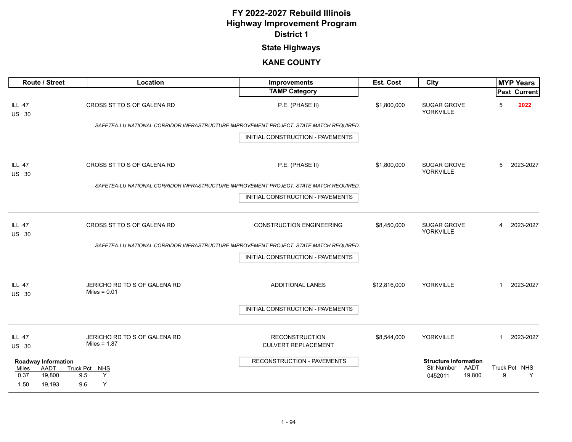## **State Highways**

| Route / Street                                                                  | Location                                        | <b>Improvements</b>                                                                    | Est. Cost    | City                                                                    |                    | <b>MYP Years</b>    |
|---------------------------------------------------------------------------------|-------------------------------------------------|----------------------------------------------------------------------------------------|--------------|-------------------------------------------------------------------------|--------------------|---------------------|
|                                                                                 |                                                 | <b>TAMP Category</b>                                                                   |              |                                                                         |                    | <b>Past Current</b> |
| <b>ILL 47</b><br><b>US 30</b>                                                   | CROSS ST TO S OF GALENA RD                      | P.E. (PHASE II)                                                                        | \$1,800,000  | <b>SUGAR GROVE</b><br><b>YORKVILLE</b>                                  | 5                  | 2022                |
|                                                                                 |                                                 | SAFETEA-LU NATIONAL CORRIDOR INFRASTRUCTURE IMPROVEMENT PROJECT. STATE MATCH REQUIRED. |              |                                                                         |                    |                     |
|                                                                                 |                                                 | INITIAL CONSTRUCTION - PAVEMENTS                                                       |              |                                                                         |                    |                     |
| ILL 47<br><b>US 30</b>                                                          | CROSS ST TO S OF GALENA RD                      | P.E. (PHASE II)                                                                        | \$1,800,000  | <b>SUGAR GROVE</b><br><b>YORKVILLE</b>                                  | 5                  | 2023-2027           |
|                                                                                 |                                                 | SAFETEA-LU NATIONAL CORRIDOR INFRASTRUCTURE IMPROVEMENT PROJECT. STATE MATCH REQUIRED. |              |                                                                         |                    |                     |
|                                                                                 |                                                 | INITIAL CONSTRUCTION - PAVEMENTS                                                       |              |                                                                         |                    |                     |
| <b>ILL 47</b><br><b>US 30</b>                                                   | CROSS ST TO S OF GALENA RD                      | <b>CONSTRUCTION ENGINEERING</b>                                                        | \$8,450,000  | <b>SUGAR GROVE</b><br>YORKVILLE                                         | 4                  | 2023-2027           |
|                                                                                 |                                                 | SAFETEA-LU NATIONAL CORRIDOR INFRASTRUCTURE IMPROVEMENT PROJECT. STATE MATCH REQUIRED. |              |                                                                         |                    |                     |
|                                                                                 |                                                 | INITIAL CONSTRUCTION - PAVEMENTS                                                       |              |                                                                         |                    |                     |
| <b>ILL 47</b><br><b>US 30</b>                                                   | JERICHO RD TO S OF GALENA RD<br>Miles = $0.01$  | <b>ADDITIONAL LANES</b>                                                                | \$12,816,000 | YORKVILLE                                                               | $\mathbf{1}$       | 2023-2027           |
|                                                                                 |                                                 | INITIAL CONSTRUCTION - PAVEMENTS                                                       |              |                                                                         |                    |                     |
| <b>ILL 47</b><br><b>US 30</b>                                                   | JERICHO RD TO S OF GALENA RD<br>Miles = $1.87$  | <b>RECONSTRUCTION</b><br><b>CULVERT REPLACEMENT</b>                                    | \$8,544,000  | YORKVILLE                                                               | $\mathbf{1}$       | 2023-2027           |
| <b>Roadway Information</b><br>AADT<br>Miles<br>0.37<br>19,800<br>1.50<br>19.193 | <b>Truck Pct</b><br>MHS<br>Y<br>9.5<br>Y<br>9.6 | RECONSTRUCTION - PAVEMENTS                                                             |              | <b>Structure Information</b><br>Str Number<br>AADT<br>19,800<br>0452011 | Truck Pct NHS<br>9 | Y                   |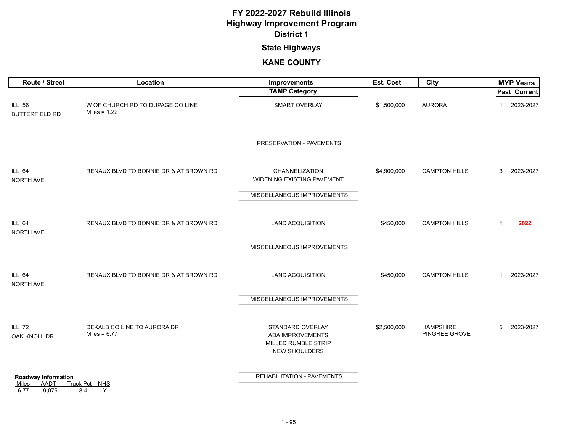### **State Highways**

| Route / Street                                        | Location                                           | Improvements                                                                        | Est. Cost   | City                              |              | <b>MYP Years</b> |
|-------------------------------------------------------|----------------------------------------------------|-------------------------------------------------------------------------------------|-------------|-----------------------------------|--------------|------------------|
|                                                       |                                                    | <b>TAMP Category</b>                                                                |             |                                   |              | Past Current     |
| <b>ILL 56</b><br><b>BUTTERFIELD RD</b>                | W OF CHURCH RD TO DUPAGE CO LINE<br>Miles = $1.22$ | SMART OVERLAY                                                                       | \$1,500,000 | <b>AURORA</b>                     | 1            | 2023-2027        |
|                                                       |                                                    | PRESERVATION - PAVEMENTS                                                            |             |                                   |              |                  |
| <b>ILL 64</b><br>NORTH AVE                            | RENAUX BLVD TO BONNIE DR & AT BROWN RD             | CHANNELIZATION<br>WIDENING EXISTING PAVEMENT                                        | \$4,900,000 | <b>CAMPTON HILLS</b>              | 3            | 2023-2027        |
|                                                       |                                                    | MISCELLANEOUS IMPROVEMENTS                                                          |             |                                   |              |                  |
| <b>ILL 64</b><br>NORTH AVE                            | RENAUX BLVD TO BONNIE DR & AT BROWN RD             | <b>LAND ACQUISITION</b>                                                             | \$450,000   | <b>CAMPTON HILLS</b>              | $\mathbf 1$  | 2022             |
|                                                       |                                                    | MISCELLANEOUS IMPROVEMENTS                                                          |             |                                   |              |                  |
| <b>ILL 64</b><br>NORTH AVE                            | RENAUX BLVD TO BONNIE DR & AT BROWN RD             | <b>LAND ACQUISITION</b>                                                             | \$450,000   | <b>CAMPTON HILLS</b>              | $\mathbf{1}$ | 2023-2027        |
|                                                       |                                                    | MISCELLANEOUS IMPROVEMENTS                                                          |             |                                   |              |                  |
| <b>ILL 72</b><br>OAK KNOLL DR                         | DEKALB CO LINE TO AURORA DR<br>Miles = $6.77$      | STANDARD OVERLAY<br>ADA IMPROVEMENTS<br>MILLED RUMBLE STRIP<br><b>NEW SHOULDERS</b> | \$2,500,000 | <b>HAMPSHIRE</b><br>PINGREE GROVE | 5            | 2023-2027        |
| Roadway Information<br>AADT<br>Miles<br>6.77<br>9,075 | Truck Pct NHS<br>Y<br>8.4                          | REHABILITATION - PAVEMENTS                                                          |             |                                   |              |                  |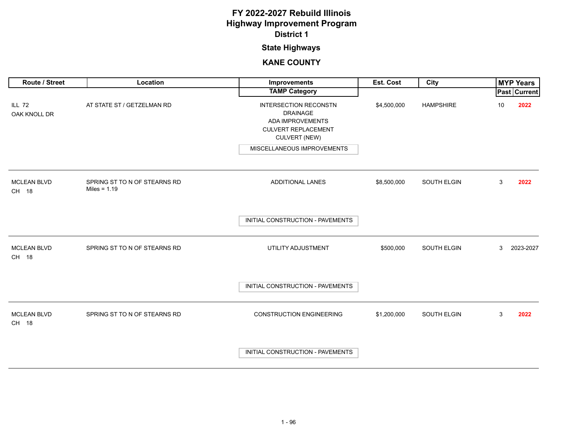## **State Highways**

| Route / Street                | Location                                       | Improvements                                                                                                                     | Est. Cost   | City             |    | <b>MYP Years</b> |
|-------------------------------|------------------------------------------------|----------------------------------------------------------------------------------------------------------------------------------|-------------|------------------|----|------------------|
|                               |                                                | <b>TAMP Category</b>                                                                                                             |             |                  |    | Past Current     |
| <b>ILL 72</b><br>OAK KNOLL DR | AT STATE ST / GETZELMAN RD                     | <b>INTERSECTION RECONSTN</b><br><b>DRAINAGE</b><br><b>ADA IMPROVEMENTS</b><br><b>CULVERT REPLACEMENT</b><br><b>CULVERT (NEW)</b> | \$4,500,000 | <b>HAMPSHIRE</b> | 10 | 2022             |
|                               |                                                | MISCELLANEOUS IMPROVEMENTS                                                                                                       |             |                  |    |                  |
| <b>MCLEAN BLVD</b><br>CH 18   | SPRING ST TO N OF STEARNS RD<br>Miles = $1.19$ | ADDITIONAL LANES                                                                                                                 | \$8,500,000 | SOUTH ELGIN      | 3  | 2022             |
|                               |                                                | INITIAL CONSTRUCTION - PAVEMENTS                                                                                                 |             |                  |    |                  |
| <b>MCLEAN BLVD</b><br>CH 18   | SPRING ST TO N OF STEARNS RD                   | UTILITY ADJUSTMENT                                                                                                               | \$500,000   | SOUTH ELGIN      | 3  | 2023-2027        |
|                               |                                                | INITIAL CONSTRUCTION - PAVEMENTS                                                                                                 |             |                  |    |                  |
| <b>MCLEAN BLVD</b><br>CH 18   | SPRING ST TO N OF STEARNS RD                   | <b>CONSTRUCTION ENGINEERING</b>                                                                                                  | \$1,200,000 | SOUTH ELGIN      | 3  | 2022             |
|                               |                                                | INITIAL CONSTRUCTION - PAVEMENTS                                                                                                 |             |                  |    |                  |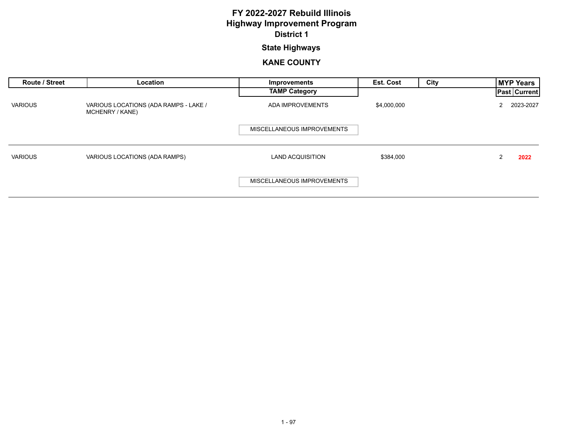### **State Highways**

| <b>Route / Street</b> | Location                                                 | Improvements               | <b>Est. Cost</b> | City | <b>MYP Years</b>    |
|-----------------------|----------------------------------------------------------|----------------------------|------------------|------|---------------------|
|                       |                                                          | <b>TAMP Category</b>       |                  |      | <b>Past Current</b> |
| <b>VARIOUS</b>        | VARIOUS LOCATIONS (ADA RAMPS - LAKE /<br>MCHENRY / KANE) | ADA IMPROVEMENTS           | \$4,000,000      |      | 2023-2027<br>2      |
|                       |                                                          | MISCELLANEOUS IMPROVEMENTS |                  |      |                     |
| <b>VARIOUS</b>        | VARIOUS LOCATIONS (ADA RAMPS)                            | <b>LAND ACQUISITION</b>    | \$384,000        |      | 2022                |
|                       |                                                          | MISCELLANEOUS IMPROVEMENTS |                  |      |                     |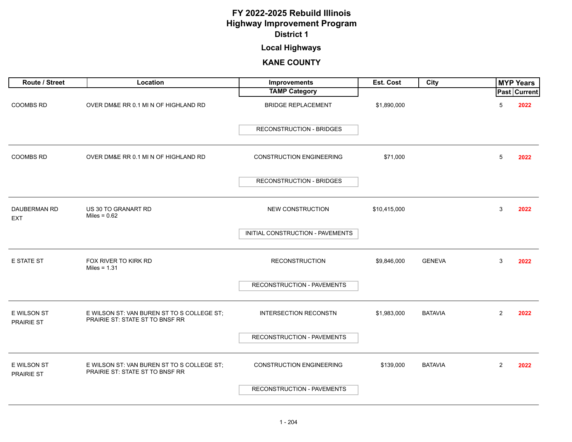### **Local Highways**

<span id="page-11-0"></span>

| Route / Street                    | Location                                                                      | Improvements                     | Est. Cost    | City           | <b>MYP Years</b>       |
|-----------------------------------|-------------------------------------------------------------------------------|----------------------------------|--------------|----------------|------------------------|
|                                   |                                                                               | <b>TAMP Category</b>             |              |                | Past Current           |
| <b>COOMBS RD</b>                  | OVER DM&E RR 0.1 MI N OF HIGHLAND RD                                          | <b>BRIDGE REPLACEMENT</b>        | \$1,890,000  |                | 5<br>2022              |
|                                   |                                                                               | <b>RECONSTRUCTION - BRIDGES</b>  |              |                |                        |
| <b>COOMBS RD</b>                  | OVER DM&E RR 0.1 MI N OF HIGHLAND RD                                          | <b>CONSTRUCTION ENGINEERING</b>  | \$71,000     |                | $\overline{5}$<br>2022 |
|                                   |                                                                               | <b>RECONSTRUCTION - BRIDGES</b>  |              |                |                        |
| <b>DAUBERMAN RD</b><br><b>EXT</b> | US 30 TO GRANART RD<br>Miles = $0.62$                                         | NEW CONSTRUCTION                 | \$10,415,000 |                | 3<br>2022              |
|                                   |                                                                               | INITIAL CONSTRUCTION - PAVEMENTS |              |                |                        |
| <b>E STATE ST</b>                 | FOX RIVER TO KIRK RD<br>Miles = $1.31$                                        | <b>RECONSTRUCTION</b>            | \$9,846,000  | <b>GENEVA</b>  | 3<br>2022              |
|                                   |                                                                               | RECONSTRUCTION - PAVEMENTS       |              |                |                        |
| E WILSON ST<br>PRAIRIE ST         | E WILSON ST: VAN BUREN ST TO S COLLEGE ST;<br>PRAIRIE ST: STATE ST TO BNSF RR | <b>INTERSECTION RECONSTN</b>     | \$1,983,000  | <b>BATAVIA</b> | $\overline{2}$<br>2022 |
|                                   |                                                                               | RECONSTRUCTION - PAVEMENTS       |              |                |                        |
| E WILSON ST<br><b>PRAIRIE ST</b>  | E WILSON ST: VAN BUREN ST TO S COLLEGE ST;<br>PRAIRIE ST: STATE ST TO BNSF RR | <b>CONSTRUCTION ENGINEERING</b>  | \$139,000    | <b>BATAVIA</b> | $\overline{2}$<br>2022 |
|                                   |                                                                               | RECONSTRUCTION - PAVEMENTS       |              |                |                        |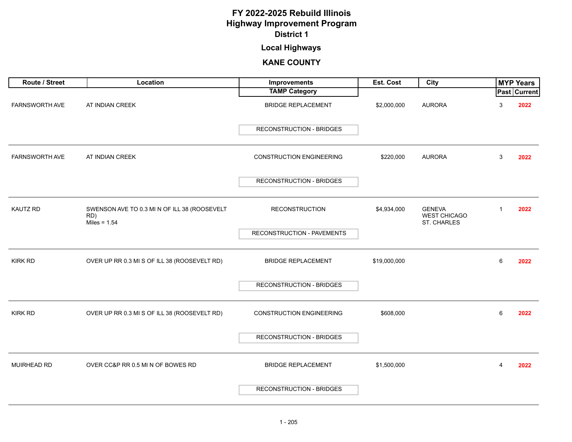## **Local Highways**

| Route / Street        | Location                                                              | Improvements                    | Est. Cost    | City                                                |   | <b>MYP Years</b>    |
|-----------------------|-----------------------------------------------------------------------|---------------------------------|--------------|-----------------------------------------------------|---|---------------------|
|                       |                                                                       | <b>TAMP Category</b>            |              |                                                     |   | <b>Past Current</b> |
| FARNSWORTH AVE        | AT INDIAN CREEK                                                       | <b>BRIDGE REPLACEMENT</b>       | \$2,000,000  | <b>AURORA</b>                                       | 3 | 2022                |
|                       |                                                                       | <b>RECONSTRUCTION - BRIDGES</b> |              |                                                     |   |                     |
| <b>FARNSWORTH AVE</b> | AT INDIAN CREEK                                                       | <b>CONSTRUCTION ENGINEERING</b> | \$220,000    | <b>AURORA</b>                                       | 3 | 2022                |
|                       |                                                                       | RECONSTRUCTION - BRIDGES        |              |                                                     |   |                     |
| <b>KAUTZ RD</b>       | SWENSON AVE TO 0.3 MI N OF ILL 38 (ROOSEVELT<br>RD)<br>Miles = $1.54$ | <b>RECONSTRUCTION</b>           | \$4,934,000  | <b>GENEVA</b><br><b>WEST CHICAGO</b><br>ST. CHARLES |   | 2022                |
|                       |                                                                       | RECONSTRUCTION - PAVEMENTS      |              |                                                     |   |                     |
| <b>KIRK RD</b>        | OVER UP RR 0.3 MI S OF ILL 38 (ROOSEVELT RD)                          | <b>BRIDGE REPLACEMENT</b>       | \$19,000,000 |                                                     | 6 | 2022                |
|                       |                                                                       | <b>RECONSTRUCTION - BRIDGES</b> |              |                                                     |   |                     |
| <b>KIRK RD</b>        | OVER UP RR 0.3 MI S OF ILL 38 (ROOSEVELT RD)                          | <b>CONSTRUCTION ENGINEERING</b> | \$608,000    |                                                     | 6 | 2022                |
|                       |                                                                       | <b>RECONSTRUCTION - BRIDGES</b> |              |                                                     |   |                     |
| <b>MUIRHEAD RD</b>    | OVER CC&P RR 0.5 MI N OF BOWES RD                                     | <b>BRIDGE REPLACEMENT</b>       | \$1,500,000  |                                                     | 4 | 2022                |
|                       |                                                                       | RECONSTRUCTION - BRIDGES        |              |                                                     |   |                     |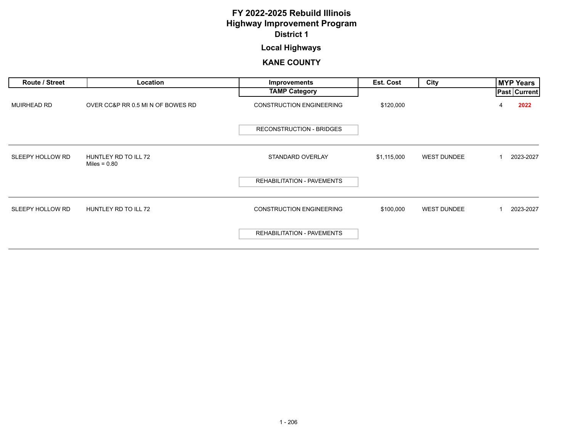## **Local Highways**

| Route / Street     | Location                               | <b>Improvements</b>               | Est. Cost   | City               | MYP Years           |
|--------------------|----------------------------------------|-----------------------------------|-------------|--------------------|---------------------|
|                    |                                        | <b>TAMP Category</b>              |             |                    | <b>Past Current</b> |
| <b>MUIRHEAD RD</b> | OVER CC&P RR 0.5 MI N OF BOWES RD      | <b>CONSTRUCTION ENGINEERING</b>   | \$120,000   |                    | 2022<br>4           |
|                    |                                        | <b>RECONSTRUCTION - BRIDGES</b>   |             |                    |                     |
| SLEEPY HOLLOW RD   | HUNTLEY RD TO ILL 72<br>Miles = $0.80$ | STANDARD OVERLAY                  | \$1,115,000 | <b>WEST DUNDEE</b> | 2023-2027           |
|                    |                                        | <b>REHABILITATION - PAVEMENTS</b> |             |                    |                     |
| SLEEPY HOLLOW RD   | HUNTLEY RD TO ILL 72                   | <b>CONSTRUCTION ENGINEERING</b>   | \$100,000   | <b>WEST DUNDEE</b> | 2023-2027           |
|                    |                                        | <b>REHABILITATION - PAVEMENTS</b> |             |                    |                     |